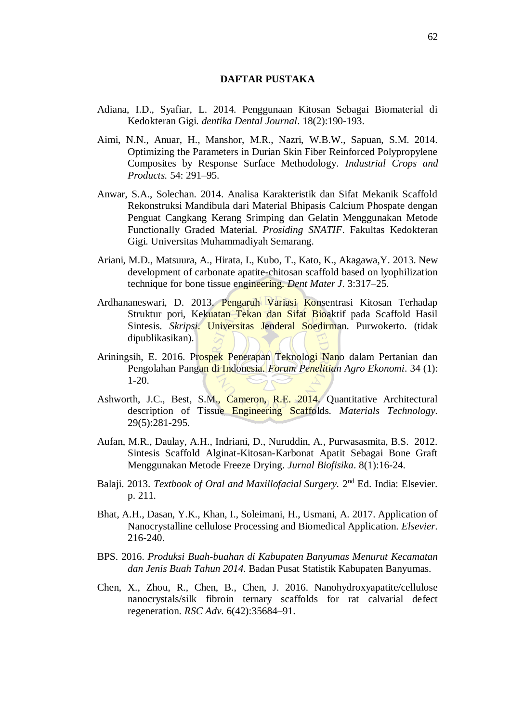## **DAFTAR PUSTAKA**

- Adiana, I.D., Syafiar, L. 2014. Penggunaan Kitosan Sebagai Biomaterial di Kedokteran Gigi. *dentika Dental Journal*. 18(2):190-193.
- Aimi, N.N., Anuar, H., Manshor, M.R., Nazri, W.B.W., Sapuan, S.M. 2014. Optimizing the Parameters in Durian Skin Fiber Reinforced Polypropylene Composites by Response Surface Methodology. *Industrial Crops and Products.* 54: 291–95.
- Anwar, S.A., Solechan. 2014. Analisa Karakteristik dan Sifat Mekanik Scaffold Rekonstruksi Mandibula dari Material Bhipasis Calcium Phospate dengan Penguat Cangkang Kerang Srimping dan Gelatin Menggunakan Metode Functionally Graded Material. *Prosiding SNATIF*. Fakultas Kedokteran Gigi. Universitas Muhammadiyah Semarang.
- Ariani, M.D., Matsuura, A., Hirata, I., Kubo, T., Kato, K., Akagawa,Y. 2013. New development of carbonate apatite-chitosan scaffold based on lyophilization technique for bone tissue engineering*. Dent Mater J*. 3:317–25.
- Ardhananeswari, D. 2013. Pengaruh Variasi Konsentrasi Kitosan Terhadap Struktur pori, Kekuatan Tekan dan Sifat Bioaktif pada Scaffold Hasil Sintesis. *Skripsi*. Universitas Jenderal Soedirman. Purwokerto. (tidak dipublikasikan).
- Ariningsih, E. 2016. Prospek Penerapan Teknologi Nano dalam Pertanian dan Pengolahan Pangan di Indonesia. *Forum Penelitian Agro Ekonomi*. 34 (1): 1-20.
- Ashworth, J.C., Best, S.M., Cameron, R.E. 2014. Quantitative Architectural description of Tissue Engineering Scaffolds. *Materials Technology.* 29(5):281-295.
- Aufan, M.R., Daulay, A.H., Indriani, D., Nuruddin, A., Purwasasmita, B.S. 2012. Sintesis Scaffold Alginat-Kitosan-Karbonat Apatit Sebagai Bone Graft Menggunakan Metode Freeze Drying. *Jurnal Biofisika*. 8(1):16-24.
- Balaji. 2013. *Textbook of Oral and Maxillofacial Surgery*. 2<sup>nd</sup> Ed. India: Elsevier. p. 211.
- Bhat, A.H., Dasan, Y.K., Khan, I., Soleimani, H., Usmani, A. 2017. Application of Nanocrystalline cellulose Processing and Biomedical Application. *Elsevier*. 216-240.
- BPS. 2016. *Produksi Buah-buahan di Kabupaten Banyumas Menurut Kecamatan dan Jenis Buah Tahun 2014*. Badan Pusat Statistik Kabupaten Banyumas.
- Chen, X., Zhou, R., Chen, B., Chen, J. 2016. Nanohydroxyapatite/cellulose nanocrystals/silk fibroin ternary scaffolds for rat calvarial defect regeneration. *RSC Adv*. 6(42):35684–91.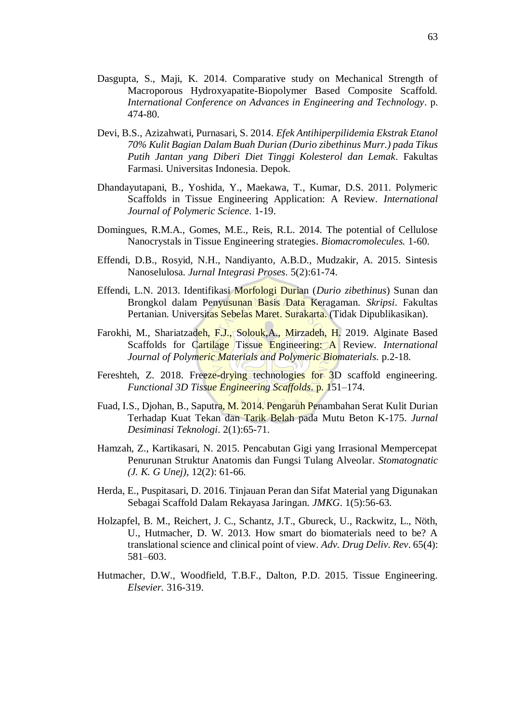- Dasgupta, S., Maji, K. 2014. Comparative study on Mechanical Strength of Macroporous Hydroxyapatite-Biopolymer Based Composite Scaffold. *International Conference on Advances in Engineering and Technology*. p. 474-80.
- Devi, B.S., Azizahwati, Purnasari, S. 2014. *Efek Antihiperpilidemia Ekstrak Etanol 70% Kulit Bagian Dalam Buah Durian (Durio zibethinus Murr.) pada Tikus Putih Jantan yang Diberi Diet Tinggi Kolesterol dan Lemak*. Fakultas Farmasi. Universitas Indonesia. Depok.
- Dhandayutapani, B., Yoshida, Y., Maekawa, T., Kumar, D.S. 2011. Polymeric Scaffolds in Tissue Engineering Application: A Review. *International Journal of Polymeric Science*. 1-19.
- Domingues, R.M.A., Gomes, M.E., Reis, R.L. 2014. The potential of Cellulose Nanocrystals in Tissue Engineering strategies. *Biomacromolecules.* 1-60.
- Effendi, D.B., Rosyid, N.H., Nandiyanto, A.B.D., Mudzakir, A. 2015. Sintesis Nanoselulosa. *Jurnal Integrasi Proses*. 5(2):61-74.
- Effendi, L.N. 2013. Identifikasi Morfologi Durian (*Durio zibethinus*) Sunan dan Brongkol dalam Penyusunan Basis Data Keragaman. *Skripsi*. Fakultas Pertanian. Universitas Sebelas Maret. Surakarta. (Tidak Dipublikasikan).
- Farokhi, M., Shariatzadeh, F.J., Solouk,A., Mirzadeh, H. 2019. Alginate Based Scaffolds for Cartilage Tissue Engineering: A Review*. International Journal of Polymeric Materials and Polymeric Biomaterials.* p.2-18.
- Fereshteh, Z. 2018. Freeze-drying technologies for 3D scaffold engineering. *Functional 3D Tissue Engineering Scaffolds*. p. 151–174.
- Fuad, I.S., Djohan, B., Saputra, M. 2014. Pengaruh Penambahan Serat Kulit Durian Terhadap Kuat Tekan dan Tarik Belah pada Mutu Beton K-175. *Jurnal Desiminasi Teknologi*. 2(1):65-71.
- Hamzah, Z., Kartikasari, N. 2015. Pencabutan Gigi yang Irrasional Mempercepat Penurunan Struktur Anatomis dan Fungsi Tulang Alveolar. *Stomatognatic (J. K. G Unej)*, 12(2): 61-66.
- Herda, E., Puspitasari, D. 2016. Tinjauan Peran dan Sifat Material yang Digunakan Sebagai Scaffold Dalam Rekayasa Jaringan. *JMKG*. 1(5):56-63.
- Holzapfel, B. M., Reichert, J. C., Schantz, J.T., Gbureck, U., Rackwitz, L., Nöth, U., Hutmacher, D. W. 2013. How smart do biomaterials need to be? A translational science and clinical point of view. *Adv. Drug Deliv. Rev*. 65(4): 581–603.
- Hutmacher, D.W., Woodfield, T.B.F., Dalton, P.D. 2015. Tissue Engineering. *Elsevier.* 316-319.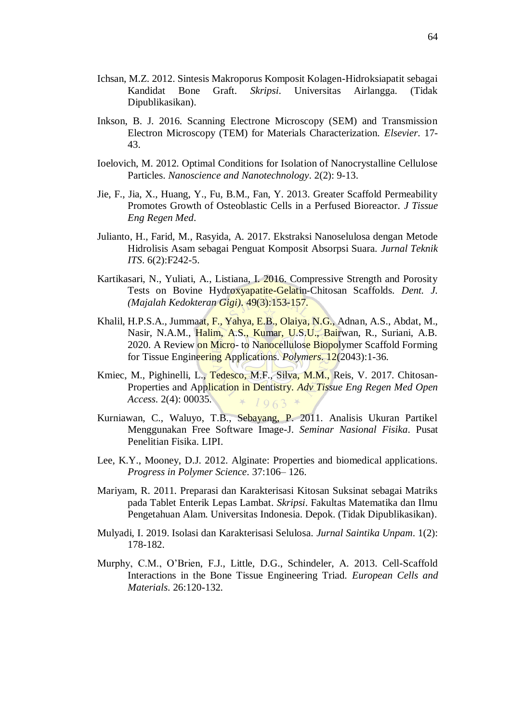- Ichsan, M.Z. 2012. Sintesis Makroporus Komposit Kolagen-Hidroksiapatit sebagai Kandidat Bone Graft. *Skripsi*. Universitas Airlangga. (Tidak Dipublikasikan).
- Inkson, B. J. 2016. Scanning Electrone Microscopy (SEM) and Transmission Electron Microscopy (TEM) for Materials Characterization. *Elsevier*. 17- 43.
- Ioelovich, M. 2012. Optimal Conditions for Isolation of Nanocrystalline Cellulose Particles. *Nanoscience and Nanotechnology*. 2(2): 9-13.
- Jie, F., Jia, X., Huang, Y., Fu, B.M., Fan, Y. 2013. Greater Scaffold Permeability Promotes Growth of Osteoblastic Cells in a Perfused Bioreactor*. J Tissue Eng Regen Med*.
- Julianto, H., Farid, M., Rasyida, A. 2017. Ekstraksi Nanoselulosa dengan Metode Hidrolisis Asam sebagai Penguat Komposit Absorpsi Suara. *Jurnal Teknik ITS*. 6(2):F242-5.
- Kartikasari, N., Yuliati, A., Listiana, I. 2016. Compressive Strength and Porosity Tests on Bovine Hydroxyapatite-Gelatin-Chitosan Scaffolds. *Dent. J. (Majalah Kedokteran Gigi)*. 49(3):153-157.
- Khalil, H.P.S.A., Jummaat, F., Yahya, E.B., Olaiya, N.G., Adnan, A.S., Abdat, M., Nasir, N.A.M., Halim, A.S., Kumar, U.S.U., Bairwan, R., Suriani, A.B. 2020. A Review on Micro- to Nanocellulose Biopolymer Scaffold Forming for Tissue Engineering Applications. *Polymers*. 12(2043):1-36.
- Kmiec, M., Pighinelli, L., Tedesco, M.F., Silva, M.M., Reis, V. 2017. Chitosan-Properties and Application in Dentistry. *Adv Tissue Eng Regen Med Open Access*. 2(4): 00035.  $1963$
- Kurniawan, C., Waluyo, T.B., Sebayang, P. 2011. Analisis Ukuran Partikel Menggunakan Free Software Image-J. *Seminar Nasional Fisika*. Pusat Penelitian Fisika. LIPI.
- Lee, K.Y., Mooney, D.J. 2012. Alginate: Properties and biomedical applications. *Progress in Polymer Science*. 37:106– 126.
- Mariyam, R. 2011. Preparasi dan Karakterisasi Kitosan Suksinat sebagai Matriks pada Tablet Enterik Lepas Lambat. *Skripsi*. Fakultas Matematika dan Ilmu Pengetahuan Alam. Universitas Indonesia. Depok. (Tidak Dipublikasikan).
- Mulyadi, I. 2019. Isolasi dan Karakterisasi Selulosa. *Jurnal Saintika Unpam*. 1(2): 178-182.
- Murphy, C.M., O'Brien, F.J., Little, D.G., Schindeler, A. 2013. Cell-Scaffold Interactions in the Bone Tissue Engineering Triad. *European Cells and Materials*. 26:120-132.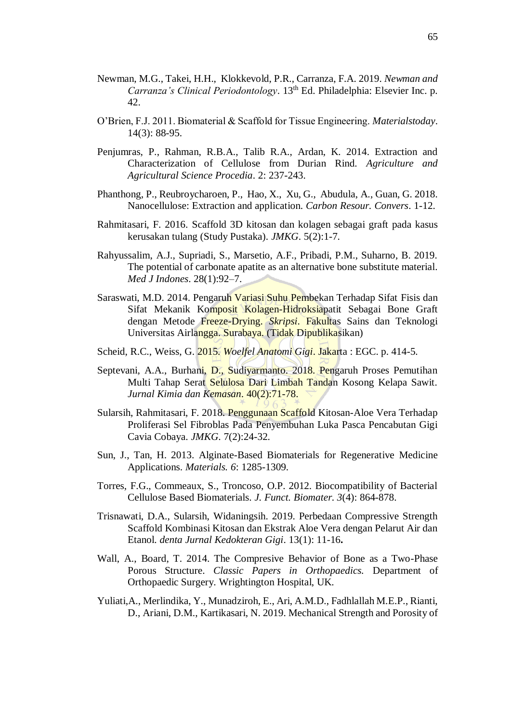- Newman, M.G., Takei, H.H., Klokkevold, P.R., Carranza, F.A. 2019. *Newman and Carranza's Clinical Periodontology*. 13<sup>th</sup> Ed. Philadelphia: Elsevier Inc. p. 42.
- O'Brien, F.J. 2011. Biomaterial & Scaffold for Tissue Engineering. *Materialstoday*. 14(3): 88-95.
- Penjumras, P., Rahman, R.B.A., Talib R.A., Ardan, K. 2014. Extraction and Characterization of Cellulose from Durian Rind. *Agriculture and Agricultural Science Procedia*. 2: 237-243.
- Phanthong, P., Reubroycharoen, P., Hao, X., Xu, G., Abudula, A., Guan, G. 2018. Nanocellulose: Extraction and application. *Carbon Resour. Convers*. 1-12.
- Rahmitasari, F. 2016. Scaffold 3D kitosan dan kolagen sebagai graft pada kasus kerusakan tulang (Study Pustaka). *JMKG*. 5(2):1-7.
- Rahyussalim, A.J., Supriadi, S., Marsetio, A.F., Pribadi, P.M., Suharno, B. 2019. The potential of carbonate apatite as an alternative bone substitute material. *Med J Indones*. 28(1):92–7.
- Saraswati, M.D. 2014. Pengaruh Variasi Suhu Pembekan Terhadap Sifat Fisis dan Sifat Mekanik Komposit Kolagen-Hidroksiapatit Sebagai Bone Graft dengan Metode Freeze-Drying. *Skripsi*. Fakultas Sains dan Teknologi Universitas Airlangga. Surabaya. (Tidak Dipublikasikan)
- Scheid, R.C., Weiss, G. 2015. *Woelfel Anatomi Gigi*. Jakarta : EGC. p. 414-5.
- Septevani, A.A., Burhani, D., Sudiyarmanto. 2018. Pengaruh Proses Pemutihan Multi Tahap Serat Selulosa Dari Limbah Tandan Kosong Kelapa Sawit. *Jurnal Kimia dan Kemasan*. 40(2):71-78.
- Sularsih, Rahmitasari, F. 2018. Penggunaan Scaffold Kitosan-Aloe Vera Terhadap Proliferasi Sel Fibroblas Pada Penyembuhan Luka Pasca Pencabutan Gigi Cavia Cobaya. *JMKG*. 7(2):24-32.
- Sun, J., Tan, H. 2013. Alginate-Based Biomaterials for Regenerative Medicine Applications. *Materials. 6*: 1285-1309.
- Torres, F.G., Commeaux, S., Troncoso, O.P. 2012. Biocompatibility of Bacterial Cellulose Based Biomaterials. *J. Funct. Biomater. 3*(4): 864-878.
- Trisnawati, D.A., Sularsih, Widaningsih. 2019. Perbedaan Compressive Strength Scaffold Kombinasi Kitosan dan Ekstrak Aloe Vera dengan Pelarut Air dan Etanol. *denta Jurnal Kedokteran Gigi*. 13(1): 11-16**.**
- Wall, A., Board, T. 2014. The Compresive Behavior of Bone as a Two-Phase Porous Structure. *Classic Papers in Orthopaedics.* Department of Orthopaedic Surgery. Wrightington Hospital, UK.
- Yuliati,A., Merlindika, Y., Munadziroh, E., Ari, A.M.D., Fadhlallah M.E.P., Rianti, D., Ariani, D.M., Kartikasari, N. 2019. Mechanical Strength and Porosity of